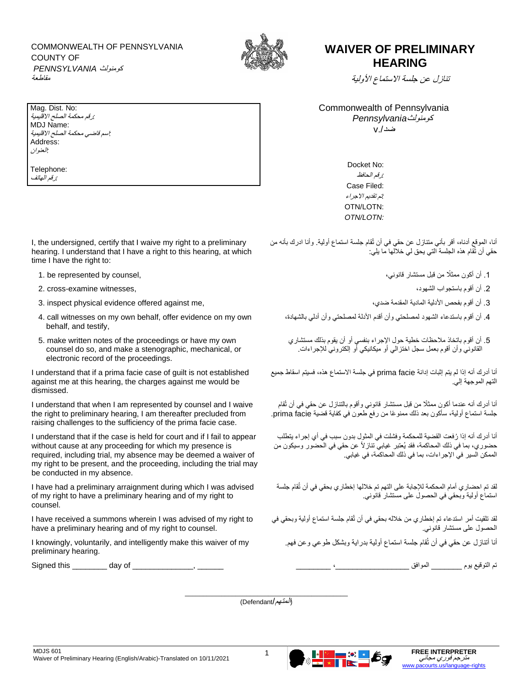COMMONWEALTH OF PENNSYLVANIA COUNTY OF كومنولث *PENNSYLVANIA* مقاطعة



## **WAIVER OF PRELIMINARY HEARING**

تنازل عن جلسة االستماع ال ولية

Commonwealth of Pennsylvania كومنولث *Pennsylvania* ضد./v

> Docket No: *:*رقم الحافظ Case Filed:  *:*تم تقديم االجراء OTN/LOTN: *OTN/LOTN:*

أنا، الموقع أدناه، أقر بأني متنازل عن حقي في أن تُقام جلسة استماع أولية. وأنا ادرك بأنه من حقي أن تُقام هذه الجلسة التي يحق لي خاللها ما يلي:

- 1. أن أكون ممثلًا من قبل مستشار قانوني،  $\hspace{2.5cm}$   $\hspace{1.5cm}$  .1
	-
	-
	- .4 أن أقوم باستدعاء الشهود لمصلحتي وأن أقدم الدلة لمصلحتي وأن أدلي بالشهادة،
	- .5 أن أقوم باتخاذ مالحظات خطية حول اإلجراء بنفسي أو أن يقوم بذلك مستشاري القانوني وأن أقوم بعمل سجل اختزالي أو ميكانيكي أو إلكتروني لإلجراءات.

أنا أدرك أنه إذا لم يتم إثبات إدانة facie prima في جلسة االستماع هذه، فسيتم اسقاط جميع التهم الموجهة إلي.

أنا أدرك أنه عندما أكون ممثلًا من قبل مستشار قانوني وأقوم بالتنازل عن حقي في أن تُقام جلسة استماع أولية، سأكون بعد ذلك ممنو ًعا من رفع طعون في كفاية قضية facie prima.

أنا أدرك أنه إذا رُفعت القضية للمحكمة وفشلت في المثول بدون سبب في أي إجراء يتطلب حضوري، بما في ذلك المحاكمة، فقد يُعتبر غيابي تنازالً عن حقي في الحضور وسيكون من الممكن السير في اإلجراءات، بما في ذلك المحاكمة، في غيابي.

لقد تم احضاري أمام المحكمة لإلجابة على التهم تم خاللها إخطاري بحقي في أن تُقام جلسة استماع أولية وبحقي في الحصول على مستشار قانوني.

لقد تلقيت أمر استدعاء تم إخطاري من خالله بحقي في أن تُقام جلسة استماع أولية وبحقي في الحصول على مستشار قانوني.

أنا أتنازل عن حقي في أن تُقام جلسة استماع أولية بدراية وبشكل طوعي وعن فهم.

تم التوقيع يوم \_\_\_\_\_\_\_ الموافق \_\_\_\_\_\_\_\_\_\_\_\_\_\_\_\_\_، \_\_\_\_\_\_\_\_ \_\_\_\_\_\_ ,\_\_\_\_\_\_\_\_\_\_\_\_\_\_ of day \_\_\_\_\_\_\_\_ this Signed

\_\_\_\_\_\_\_\_\_\_\_\_\_\_\_\_\_\_\_\_\_\_\_\_\_\_\_\_\_\_\_\_\_\_\_\_\_\_\_\_\_\_\_\_\_ (المتهم/Defendant(

Mag. Dist. No: *:*رقم محكمة الصلح االقليمية MDJ Name: *:*اسم قاضي محكمة الصلح االقليمية Address: *:*العنوان

Telephone: *:*رقم الهاتف

I, the undersigned, certify that I waive my right to a preliminary hearing. I understand that I have a right to this hearing, at which time I have the right to:

- 
- .2 أن أقوم باستجواب الشهود، ,witnesses examine-cross 2.
- .3 أن أقوم بفحص الدلية المادية المقدمة ضدي، ,me against offered evidence physical inspect 3.
- 4. call witnesses on my own behalf, offer evidence on my own behalf, and testify,
- 5. make written notes of the proceedings or have my own counsel do so, and make a stenographic, mechanical, or electronic record of the proceedings.

I understand that if a prima facie case of guilt is not established against me at this hearing, the charges against me would be dismissed.

I understand that when I am represented by counsel and I waive the right to preliminary hearing, I am thereafter precluded from raising challenges to the sufficiency of the prima facie case.

I understand that if the case is held for court and if I fail to appear without cause at any proceeding for which my presence is required, including trial, my absence may be deemed a waiver of my right to be present, and the proceeding, including the trial may be conducted in my absence.

I have had a preliminary arraignment during which I was advised of my right to have a preliminary hearing and of my right to counsel.

I have received a summons wherein I was advised of my right to have a preliminary hearing and of my right to counsel.

I knowingly, voluntarily, and intelligently make this waiver of my preliminary hearing.